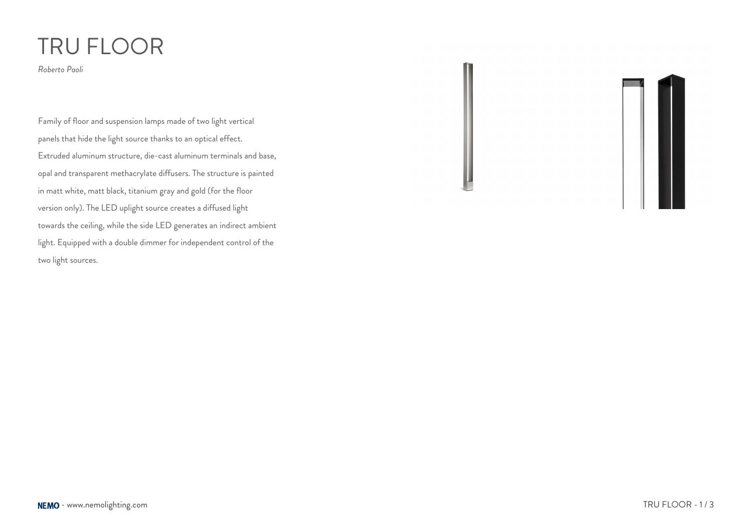## TRU FLOOR

*Roberto Paoli*

Family of floor and suspension lamps made of two light vertical panels that hide the light source thanks to an optical effect. Extruded aluminum structure, die-cast aluminum terminals and base, opal and transparent methacrylate diffusers. The structure is painted in matt white, matt black, titanium gray and gold (for the floor version only). The LED uplight source creates a diffused light towards the ceiling, while the side LED generates an indirect ambient light. Equipped with a double dimmer for independent control of the two light sources.

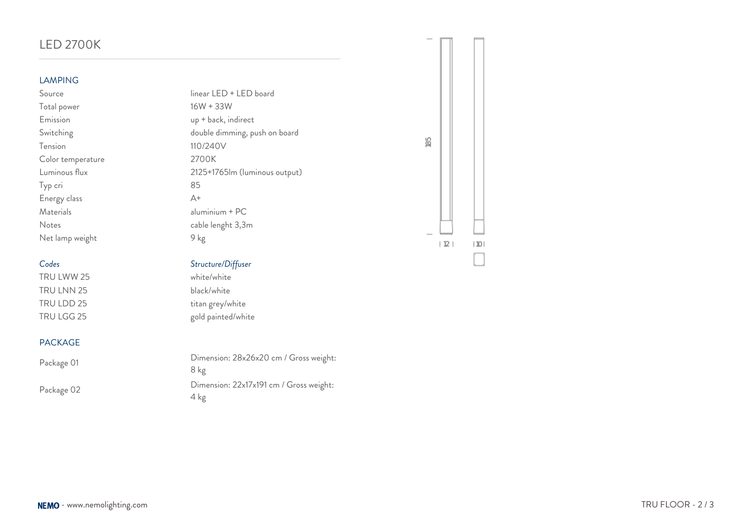## LED 2700K **LAMPING** Source linear LED + LED board Total power 16W + 33W Emission up + back, indirect Switching Switching Switching and the double dimming, push on board 85 Tension 110/240V Color temperature 2700K Luminous flux 2125+1765lm (luminous output) Typ cri 85 Energy class A+ Materials aluminium + PC Notes cable lenght 3,3m Net lamp weight 9 kg  $|12|$  $|10|$ *Codes Structure/Diffuser* TRU LWW 25 white/white TRU LNN 25 black/white TRU LDD 25 titan grey/white TRU LGG 25 gold painted/white PACKAGE

Package 01 Dimension: 28x26x20 cm / Gross weight: 8 kg Package 02 Dimension: 22x17x191 cm / Gross weight: 4 kg